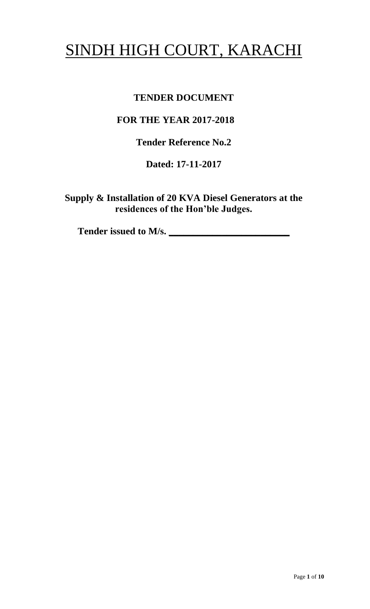# SINDH HIGH COURT, KARACHI

# **TENDER DOCUMENT**

# **FOR THE YEAR 2017-2018**

**Tender Reference No.2**

**Dated: 17-11-2017**

**Supply & Installation of 20 KVA Diesel Generators at the residences of the Hon'ble Judges.**

Tender issued to M/s.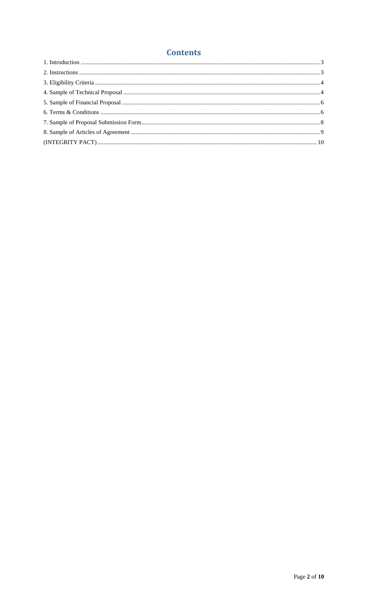## **Contents**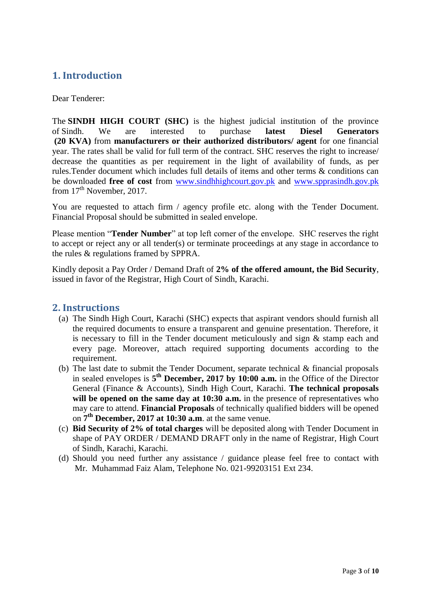### **1. Introduction**

#### Dear Tenderer:

The **SINDH HIGH COURT (SHC)** is the highest judicial institution of the province of [Sindh.](https://en.wikipedia.org/wiki/Sindh) We are interested to purchase **latest Diesel Generators (20 KVA)** from **manufacturers or their authorized distributors/ agent** for one financial year. The rates shall be valid for full term of the contract. SHC reserves the right to increase/ decrease the quantities as per requirement in the light of availability of funds, as per rules.Tender document which includes full details of items and other terms & conditions can be downloaded **free of cost** from [www.sindhhighcourt.gov.pk](http://www.sindhhighcourt.gov.pk/) and [www.spprasindh.gov.pk](http://www.spprasindh.gov.pk/) from  $17<sup>th</sup>$  November, 2017.

<span id="page-2-0"></span>You are requested to attach firm / agency profile etc. along with the Tender Document. Financial Proposal should be submitted in sealed envelope.

Please mention "**Tender Number**" at top left corner of the envelope. SHC reserves the right to accept or reject any or all tender(s) or terminate proceedings at any stage in accordance to the rules & regulations framed by SPPRA.

Kindly deposit a Pay Order / Demand Draft of **2% of the offered amount, the Bid Security**, issued in favor of the Registrar, High Court of Sindh, Karachi.

#### **2. Instructions**

- (a) The Sindh High Court, Karachi (SHC) expects that aspirant vendors should furnish all the required documents to ensure a transparent and genuine presentation. Therefore, it is necessary to fill in the Tender document meticulously and sign & stamp each and every page. Moreover, attach required supporting documents according to the requirement.
- (b) The last date to submit the Tender Document, separate technical & financial proposals in sealed envelopes is **5 th December, 2017 by 10:00 a.m.** in the Office of the Director General (Finance & Accounts), Sindh High Court, Karachi. **The technical proposals** will be opened on the same day at 10:30 a.m. in the presence of representatives who may care to attend. **Financial Proposals** of technically qualified bidders will be opened on **7 th December, 2017 at 10:30 a.m**. at the same venue.
- <span id="page-2-1"></span>(c) **Bid Security of 2% of total charges** will be deposited along with Tender Document in shape of PAY ORDER / DEMAND DRAFT only in the name of Registrar, High Court of Sindh, Karachi, Karachi.
- (d) Should you need further any assistance / guidance please feel free to contact with Mr. Muhammad Faiz Alam, Telephone No. 021-99203151 Ext 234.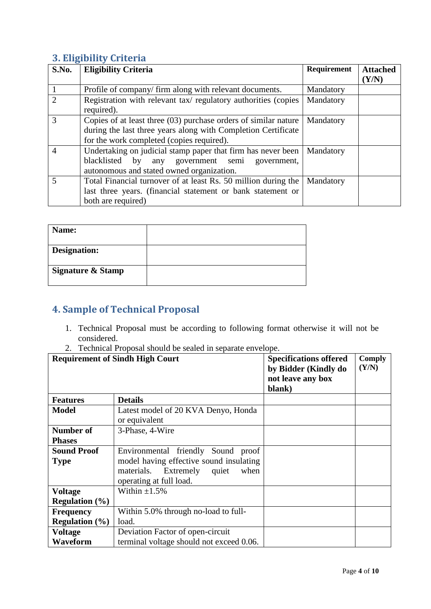## **3. Eligibility Criteria**

| S.No.          | <b>Eligibility Criteria</b>                                     | <b>Requirement</b> | <b>Attached</b> |
|----------------|-----------------------------------------------------------------|--------------------|-----------------|
|                |                                                                 |                    | (Y/N)           |
|                | Profile of company/firm along with relevant documents.          | Mandatory          |                 |
| $\mathcal{D}$  | Registration with relevant tax/regulatory authorities (copies   | Mandatory          |                 |
|                | required).                                                      |                    |                 |
| 3              | Copies of at least three (03) purchase orders of similar nature | Mandatory          |                 |
|                | during the last three years along with Completion Certificate   |                    |                 |
|                | for the work completed (copies required).                       |                    |                 |
| $\overline{4}$ | Undertaking on judicial stamp paper that firm has never been    | Mandatory          |                 |
|                | blacklisted<br>any government semi government,<br>by            |                    |                 |
|                | autonomous and stated owned organization.                       |                    |                 |
|                | Total Financial turnover of at least Rs. 50 million during the  | Mandatory          |                 |
|                | last three years. (financial statement or bank statement or     |                    |                 |
|                | both are required)                                              |                    |                 |

<span id="page-3-0"></span>

| Name:                        |  |
|------------------------------|--|
| Designation:                 |  |
| <b>Signature &amp; Stamp</b> |  |

# **4. Sample of Technical Proposal**

- 1. Technical Proposal must be according to following format otherwise it will not be considered.
- 2. Technical Proposal should be sealed in separate envelope.

<span id="page-3-1"></span>

| <b>Requirement of Sindh High Court</b> |                                                                                                                                                   | <b>Specifications offered</b><br>by Bidder (Kindly do<br>not leave any box<br>blank) | <b>Comply</b><br>(Y/N) |
|----------------------------------------|---------------------------------------------------------------------------------------------------------------------------------------------------|--------------------------------------------------------------------------------------|------------------------|
| <b>Features</b>                        | <b>Details</b>                                                                                                                                    |                                                                                      |                        |
| <b>Model</b>                           | Latest model of 20 KVA Denyo, Honda<br>or equivalent                                                                                              |                                                                                      |                        |
| <b>Number of</b><br>3-Phase, 4-Wire    |                                                                                                                                                   |                                                                                      |                        |
| <b>Phases</b>                          |                                                                                                                                                   |                                                                                      |                        |
| <b>Sound Proof</b><br><b>Type</b>      | Environmental friendly Sound proof<br>model having effective sound insulating<br>materials.<br>Extremely quiet<br>when<br>operating at full load. |                                                                                      |                        |
| <b>Voltage</b>                         | Within $\pm 1.5\%$                                                                                                                                |                                                                                      |                        |
| <b>Regulation</b> $(\%)$               |                                                                                                                                                   |                                                                                      |                        |
| <b>Frequency</b>                       | Within 5.0% through no-load to full-                                                                                                              |                                                                                      |                        |
| <b>Regulation</b> $(\%)$               | load.                                                                                                                                             |                                                                                      |                        |
| <b>Voltage</b>                         | Deviation Factor of open-circuit                                                                                                                  |                                                                                      |                        |
| Waveform                               | terminal voltage should not exceed 0.06.                                                                                                          |                                                                                      |                        |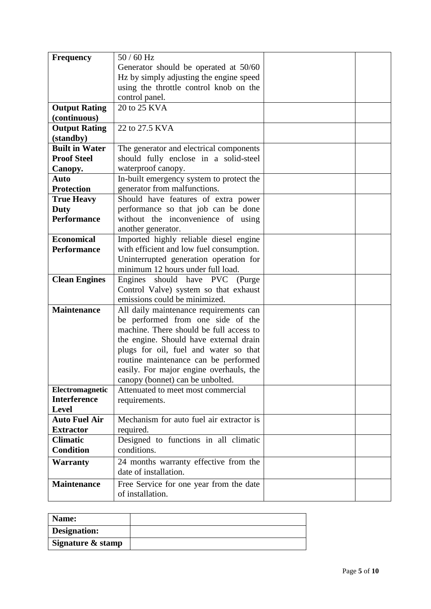| <b>Frequency</b>                      | $50/60$ Hz                                           |  |  |
|---------------------------------------|------------------------------------------------------|--|--|
| Generator should be operated at 50/60 |                                                      |  |  |
|                                       | Hz by simply adjusting the engine speed              |  |  |
|                                       | using the throttle control knob on the               |  |  |
|                                       | control panel.                                       |  |  |
| <b>Output Rating</b>                  | 20 to 25 KVA                                         |  |  |
| (continuous)                          |                                                      |  |  |
| <b>Output Rating</b>                  | 22 to 27.5 KVA                                       |  |  |
| (standby)                             |                                                      |  |  |
| <b>Built in Water</b>                 | The generator and electrical components              |  |  |
| <b>Proof Steel</b>                    | should fully enclose in a solid-steel                |  |  |
| Canopy.                               | waterproof canopy.                                   |  |  |
| Auto                                  | In-built emergency system to protect the             |  |  |
| <b>Protection</b>                     | generator from malfunctions.                         |  |  |
| <b>True Heavy</b>                     | Should have features of extra power                  |  |  |
| Duty                                  | performance so that job can be done                  |  |  |
| <b>Performance</b>                    | without the inconvenience of using                   |  |  |
|                                       | another generator.                                   |  |  |
| <b>Economical</b>                     | Imported highly reliable diesel engine               |  |  |
| <b>Performance</b>                    | with efficient and low fuel consumption.             |  |  |
|                                       | Uninterrupted generation operation for               |  |  |
|                                       | minimum 12 hours under full load.                    |  |  |
| <b>Clean Engines</b>                  | Engines should have PVC (Purge                       |  |  |
|                                       | Control Valve) system so that exhaust                |  |  |
|                                       | emissions could be minimized.                        |  |  |
| <b>Maintenance</b>                    | All daily maintenance requirements can               |  |  |
|                                       | be performed from one side of the                    |  |  |
|                                       | machine. There should be full access to              |  |  |
|                                       | the engine. Should have external drain               |  |  |
|                                       | plugs for oil, fuel and water so that                |  |  |
|                                       | routine maintenance can be performed                 |  |  |
|                                       | easily. For major engine overhauls, the              |  |  |
|                                       | canopy (bonnet) can be unbolted.                     |  |  |
| Electromagnetic                       | Attenuated to meet most commercial                   |  |  |
| <b>Interference</b>                   | requirements.                                        |  |  |
| <b>Level</b>                          | Mechanism for auto fuel air extractor is             |  |  |
| <b>Auto Fuel Air</b>                  |                                                      |  |  |
| <b>Extractor</b><br><b>Climatic</b>   | required.                                            |  |  |
| <b>Condition</b>                      | Designed to functions in all climatic<br>conditions. |  |  |
|                                       |                                                      |  |  |
| <b>Warranty</b>                       | 24 months warranty effective from the                |  |  |
|                                       | date of installation.                                |  |  |
| <b>Maintenance</b>                    | Free Service for one year from the date              |  |  |
|                                       | of installation.                                     |  |  |

| Name:             |  |
|-------------------|--|
| Designation:      |  |
| Signature & stamp |  |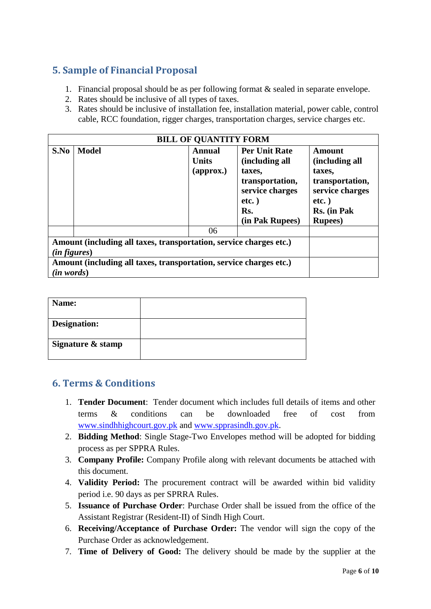# **5. Sample of Financial Proposal**

- 1. Financial proposal should be as per following format & sealed in separate envelope.
- 2. Rates should be inclusive of all types of taxes.
- 3. Rates should be inclusive of installation fee, installation material, power cable, control cable, RCC foundation, rigger charges, transportation charges, service charges etc.

<span id="page-5-0"></span>

| <b>BILL OF QUANTITY FORM</b> |                                                                                                                                                                        |                                                      |                                                                                                                              |                                                                                                                        |
|------------------------------|------------------------------------------------------------------------------------------------------------------------------------------------------------------------|------------------------------------------------------|------------------------------------------------------------------------------------------------------------------------------|------------------------------------------------------------------------------------------------------------------------|
| S.No                         | <b>Model</b>                                                                                                                                                           | Annual<br><b>Units</b><br>$\left($ approx. $\right)$ | <b>Per Unit Rate</b><br>(including all<br>taxes,<br>transportation,<br>service charges<br>$etc.$ )<br>Rs.<br>(in Pak Rupees) | Amount<br>(including all<br>taxes,<br>transportation,<br>service charges<br>$etc.$ )<br>Rs. (in Pak<br><b>Rupees</b> ) |
|                              |                                                                                                                                                                        | 06                                                   |                                                                                                                              |                                                                                                                        |
|                              | Amount (including all taxes, transportation, service charges etc.)<br>(in figures)<br>Amount (including all taxes, transportation, service charges etc.)<br>(in words) |                                                      |                                                                                                                              |                                                                                                                        |

| Name:             |  |
|-------------------|--|
| Designation:      |  |
| Signature & stamp |  |

#### **6. Terms & Conditions**

- 1. **Tender Document**: Tender document which includes full details of items and other terms & conditions can be downloaded free of cost from [www.sindhhighcourt.gov.pk](http://www.sindhhighcourt.gov.pk/) and [www.spprasindh.gov.pk.](http://www.spprasindh.gov.pk/)
- 2. **Bidding Method**: Single Stage-Two Envelopes method will be adopted for bidding process as per SPPRA Rules.
- 3. **Company Profile:** Company Profile along with relevant documents be attached with this document.
- <span id="page-5-1"></span>4. **Validity Period:** The procurement contract will be awarded within bid validity period i.e. 90 days as per SPRRA Rules.
- 5. **Issuance of Purchase Order**: Purchase Order shall be issued from the office of the Assistant Registrar (Resident-II) of Sindh High Court.
- 6. **Receiving/Acceptance of Purchase Order:** The vendor will sign the copy of the Purchase Order as acknowledgement.
- 7. **Time of Delivery of Good:** The delivery should be made by the supplier at the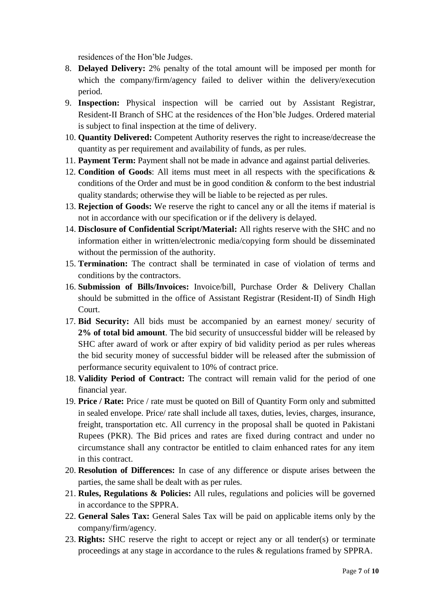residences of the Hon"ble Judges.

- 8. **Delayed Delivery:** 2% penalty of the total amount will be imposed per month for which the company/firm/agency failed to deliver within the delivery/execution period.
- 9. **Inspection:** Physical inspection will be carried out by Assistant Registrar, Resident-II Branch of SHC at the residences of the Hon"ble Judges. Ordered material is subject to final inspection at the time of delivery.
- 10. **Quantity Delivered:** Competent Authority reserves the right to increase/decrease the quantity as per requirement and availability of funds, as per rules.
- 11. **Payment Term:** Payment shall not be made in advance and against partial deliveries.
- 12. **Condition of Goods**: All items must meet in all respects with the specifications & conditions of the Order and must be in good condition & conform to the best industrial quality standards; otherwise they will be liable to be rejected as per rules.
- 13. **Rejection of Goods:** We reserve the right to cancel any or all the items if material is not in accordance with our specification or if the delivery is delayed.
- 14. **Disclosure of Confidential Script/Material:** All rights reserve with the SHC and no information either in written/electronic media/copying form should be disseminated without the permission of the authority.
- 15. **Termination:** The contract shall be terminated in case of violation of terms and conditions by the contractors.
- 16. **Submission of Bills/Invoices:** Invoice/bill, Purchase Order & Delivery Challan should be submitted in the office of Assistant Registrar (Resident-II) of Sindh High Court.
- 17. **Bid Security:** All bids must be accompanied by an earnest money/ security of **2% of total bid amount**. The bid security of unsuccessful bidder will be released by SHC after award of work or after expiry of bid validity period as per rules whereas the bid security money of successful bidder will be released after the submission of performance security equivalent to 10% of contract price.
- 18. **Validity Period of Contract:** The contract will remain valid for the period of one financial year.
- 19. **Price / Rate:** Price / rate must be quoted on Bill of Quantity Form only and submitted in sealed envelope. Price/ rate shall include all taxes, duties, levies, charges, insurance, freight, transportation etc. All currency in the proposal shall be quoted in Pakistani Rupees (PKR). The Bid prices and rates are fixed during contract and under no circumstance shall any contractor be entitled to claim enhanced rates for any item in this contract.
- 20. **Resolution of Differences:** In case of any difference or dispute arises between the parties, the same shall be dealt with as per rules.
- 21. **Rules, Regulations & Policies:** All rules, regulations and policies will be governed in accordance to the SPPRA.
- 22. **General Sales Tax:** General Sales Tax will be paid on applicable items only by the company/firm/agency.
- 23. **Rights:** SHC reserve the right to accept or reject any or all tender(s) or terminate proceedings at any stage in accordance to the rules & regulations framed by SPPRA.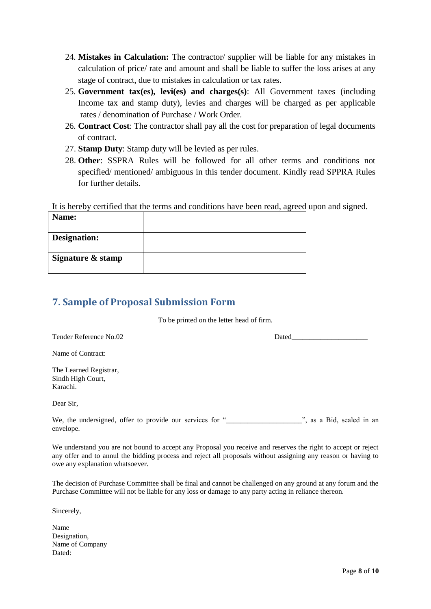- 24. **Mistakes in Calculation:** The contractor/ supplier will be liable for any mistakes in calculation of price/ rate and amount and shall be liable to suffer the loss arises at any stage of contract, due to mistakes in calculation or tax rates.
- 25. **Government tax(es), levi(es) and charges(s)**: All Government taxes (including Income tax and stamp duty), levies and charges will be charged as per applicable rates / denomination of Purchase / Work Order.
- 26. **Contract Cost**: The contractor shall pay all the cost for preparation of legal documents of contract.
- 27. **Stamp Duty**: Stamp duty will be levied as per rules.
- 28. **Other**: SSPRA Rules will be followed for all other terms and conditions not specified/ mentioned/ ambiguous in this tender document. Kindly read SPPRA Rules for further details.

It is hereby certified that the terms and conditions have been read, agreed upon and signed.

| Name:               |  |
|---------------------|--|
| <b>Designation:</b> |  |
| Signature & stamp   |  |

#### **7. Sample of Proposal Submission Form**

To be printed on the letter head of firm.

Tender Reference No.02 Dated

Name of Contract:

The Learned Registrar, Sindh High Court, Karachi.

Dear Sir,

<span id="page-7-0"></span>We, the undersigned, offer to provide our services for "\_\_\_\_\_\_\_\_\_\_\_\_\_\_\_\_\_\_\_\_\_\_", as a Bid, sealed in an envelope.

We understand you are not bound to accept any Proposal you receive and reserves the right to accept or reject any offer and to annul the bidding process and reject all proposals without assigning any reason or having to owe any explanation whatsoever.

The decision of Purchase Committee shall be final and cannot be challenged on any ground at any forum and the Purchase Committee will not be liable for any loss or damage to any party acting in reliance thereon.

Sincerely,

Name Designation, Name of Company Dated: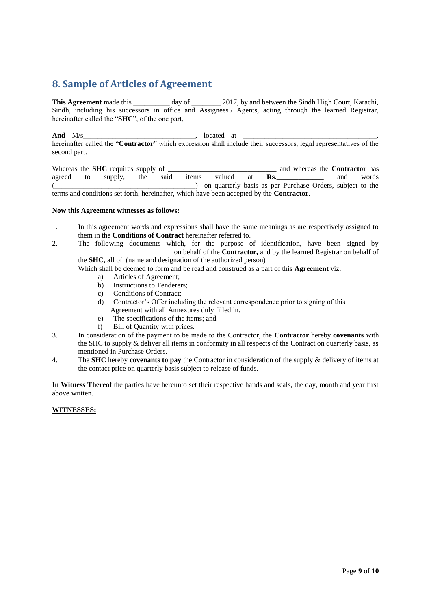### **8. Sample of Articles of Agreement**

**This Agreement** made this \_\_\_\_\_\_\_\_\_\_ day of \_\_\_\_\_\_\_\_ 2017, by and between the Sindh High Court, Karachi, Sindh, including his successors in office and Assignees / Agents, acting through the learned Registrar, hereinafter called the "**SHC**", of the one part,

**And** M/s\_\_\_\_\_\_\_\_\_\_\_\_\_\_\_\_\_\_\_\_\_\_\_\_\_\_\_\_\_\_\_, located at \_\_\_\_\_\_\_\_\_\_\_\_\_\_\_\_\_\_\_\_\_\_\_\_\_\_\_\_\_\_\_\_\_\_\_\_\_, hereinafter called the "**Contractor**" which expression shall include their successors, legal representatives of the second part.

<span id="page-8-0"></span>Whereas the **SHC** requires supply of **the analyzing and supply and whereas the Contractor** has agreed to supply, the said items valued at **Rs.\_\_\_\_\_\_\_\_\_\_\_\_\_** and words (\_\_\_\_\_\_\_\_\_\_\_\_\_\_\_\_\_\_\_\_\_\_\_\_\_\_\_\_\_\_\_\_\_\_\_\_\_\_\_) on quarterly basis as per Purchase Orders, subject to the terms and conditions set forth, hereinafter, which have been accepted by the **Contractor**.

#### **Now this Agreement witnesses as follows:**

- 1. In this agreement words and expressions shall have the same meanings as are respectively assigned to them in the **Conditions of Contract** hereinafter referred to.
- 2. The following documents which, for the purpose of identification, have been signed by \_\_\_\_\_\_\_\_\_\_\_\_\_\_\_\_\_\_\_\_\_\_\_\_\_\_ on behalf of the **Contractor,** and by the learned Registrar on behalf of the **SHC**, all of (name and designation of the authorized person)

Which shall be deemed to form and be read and construed as a part of this **Agreement** viz.

- a) Articles of Agreement;
- b) Instructions to Tenderers;
- c) Conditions of Contract;
- d) Contractor"s Offer including the relevant correspondence prior to signing of this Agreement with all Annexures duly filled in.
- e) The specifications of the items; and
- f) Bill of Quantity with prices.
- 3. In consideration of the payment to be made to the Contractor, the **Contractor** hereby **covenants** with the SHC to supply & deliver all items in conformity in all respects of the Contract on quarterly basis, as mentioned in Purchase Orders.
- 4. The **SHC** hereby **covenants to pay** the Contractor in consideration of the supply & delivery of items at the contact price on quarterly basis subject to release of funds.

**In Witness Thereof** the parties have hereunto set their respective hands and seals, the day, month and year first above written.

#### **WITNESSES:**